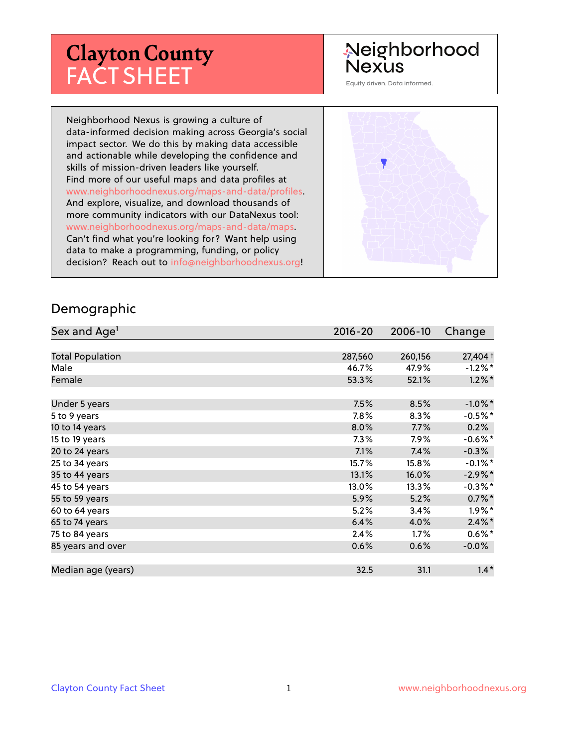# **Clayton County** FACT SHEET

# Neighborhood **Nexus**

Equity driven. Data informed.

Neighborhood Nexus is growing a culture of data-informed decision making across Georgia's social impact sector. We do this by making data accessible and actionable while developing the confidence and skills of mission-driven leaders like yourself. Find more of our useful maps and data profiles at www.neighborhoodnexus.org/maps-and-data/profiles. And explore, visualize, and download thousands of more community indicators with our DataNexus tool: www.neighborhoodnexus.org/maps-and-data/maps. Can't find what you're looking for? Want help using data to make a programming, funding, or policy decision? Reach out to [info@neighborhoodnexus.org!](mailto:info@neighborhoodnexus.org)



#### Demographic

| Sex and Age <sup>1</sup> | $2016 - 20$ | 2006-10 | Change     |
|--------------------------|-------------|---------|------------|
|                          |             |         |            |
| <b>Total Population</b>  | 287,560     | 260,156 | 27,404 +   |
| Male                     | 46.7%       | 47.9%   | $-1.2\%$ * |
| Female                   | 53.3%       | 52.1%   | $1.2\%$ *  |
|                          |             |         |            |
| Under 5 years            | 7.5%        | 8.5%    | $-1.0\%$ * |
| 5 to 9 years             | $7.8\%$     | 8.3%    | $-0.5\%$ * |
| 10 to 14 years           | 8.0%        | 7.7%    | 0.2%       |
| 15 to 19 years           | 7.3%        | 7.9%    | $-0.6%$ *  |
| 20 to 24 years           | 7.1%        | 7.4%    | $-0.3%$    |
| 25 to 34 years           | 15.7%       | 15.8%   | $-0.1\%$ * |
| 35 to 44 years           | 13.1%       | 16.0%   | $-2.9\%$ * |
| 45 to 54 years           | 13.0%       | 13.3%   | $-0.3\%$ * |
| 55 to 59 years           | 5.9%        | 5.2%    | $0.7\%$ *  |
| 60 to 64 years           | 5.2%        | 3.4%    | $1.9\%$ *  |
| 65 to 74 years           | 6.4%        | 4.0%    | $2.4\%$ *  |
| 75 to 84 years           | 2.4%        | 1.7%    | $0.6\%$ *  |
| 85 years and over        | 0.6%        | 0.6%    | $-0.0\%$   |
|                          |             |         |            |
| Median age (years)       | 32.5        | 31.1    | $1.4*$     |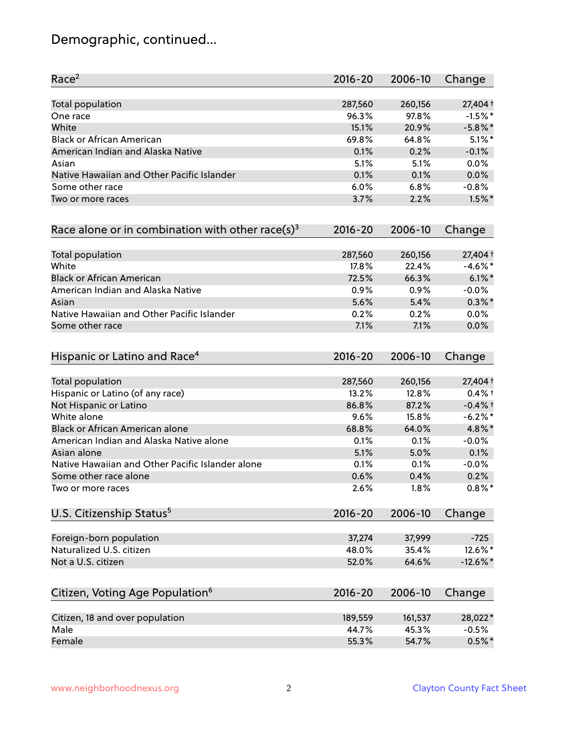# Demographic, continued...

| Race <sup>2</sup>                                            | $2016 - 20$ | 2006-10 | Change      |
|--------------------------------------------------------------|-------------|---------|-------------|
| <b>Total population</b>                                      | 287,560     | 260,156 | 27,404 +    |
| One race                                                     | 96.3%       | 97.8%   | $-1.5%$ *   |
| White                                                        | 15.1%       | 20.9%   | $-5.8\%$ *  |
| <b>Black or African American</b>                             | 69.8%       | 64.8%   | $5.1\%$ *   |
| American Indian and Alaska Native                            | 0.1%        | 0.2%    | $-0.1%$     |
| Asian                                                        | 5.1%        | 5.1%    | 0.0%        |
| Native Hawaiian and Other Pacific Islander                   | 0.1%        | 0.1%    | 0.0%        |
| Some other race                                              | 6.0%        | 6.8%    | $-0.8%$     |
| Two or more races                                            | 3.7%        | 2.2%    | $1.5\%$ *   |
| Race alone or in combination with other race(s) <sup>3</sup> | $2016 - 20$ | 2006-10 | Change      |
| Total population                                             | 287,560     | 260,156 | 27,404 +    |
| White                                                        | 17.8%       | 22.4%   | $-4.6\%$ *  |
| <b>Black or African American</b>                             | 72.5%       | 66.3%   | $6.1\%$ *   |
| American Indian and Alaska Native                            | 0.9%        | 0.9%    | $-0.0%$     |
| Asian                                                        | 5.6%        | 5.4%    | $0.3\%$ *   |
| Native Hawaiian and Other Pacific Islander                   | 0.2%        | 0.2%    | 0.0%        |
| Some other race                                              | 7.1%        | 7.1%    | 0.0%        |
| Hispanic or Latino and Race <sup>4</sup>                     | $2016 - 20$ | 2006-10 | Change      |
| Total population                                             | 287,560     | 260,156 | 27,404 +    |
| Hispanic or Latino (of any race)                             | 13.2%       | 12.8%   | $0.4%$ +    |
| Not Hispanic or Latino                                       | 86.8%       | 87.2%   | $-0.4%$ +   |
| White alone                                                  | 9.6%        | 15.8%   | $-6.2\%$ *  |
| Black or African American alone                              | 68.8%       | 64.0%   | 4.8%*       |
| American Indian and Alaska Native alone                      | 0.1%        | 0.1%    | $-0.0%$     |
| Asian alone                                                  | 5.1%        | 5.0%    | 0.1%        |
| Native Hawaiian and Other Pacific Islander alone             | 0.1%        | 0.1%    | $-0.0%$     |
| Some other race alone                                        | 0.6%        | 0.4%    | 0.2%        |
| Two or more races                                            | 2.6%        | 1.8%    | $0.8\%$ *   |
| U.S. Citizenship Status <sup>5</sup>                         | $2016 - 20$ | 2006-10 | Change      |
| Foreign-born population                                      | 37,274      | 37,999  | $-725$      |
| Naturalized U.S. citizen                                     | 48.0%       | 35.4%   | 12.6%*      |
| Not a U.S. citizen                                           | 52.0%       | 64.6%   | $-12.6\%$ * |
| Citizen, Voting Age Population <sup>6</sup>                  | $2016 - 20$ | 2006-10 | Change      |
|                                                              |             |         |             |
| Citizen, 18 and over population                              | 189,559     | 161,537 | 28,022*     |
| Male                                                         | 44.7%       | 45.3%   | $-0.5%$     |
| Female                                                       | 55.3%       | 54.7%   | $0.5%$ *    |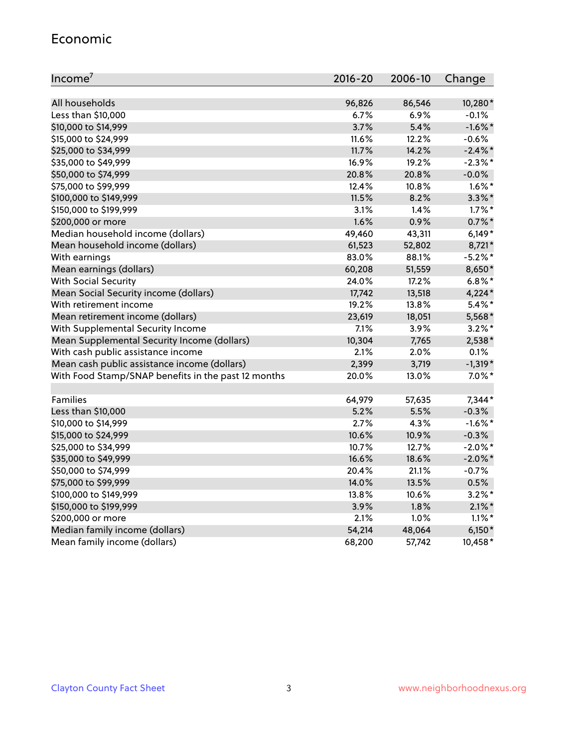#### Economic

| Income <sup>7</sup>                                 | $2016 - 20$ | 2006-10 | Change     |
|-----------------------------------------------------|-------------|---------|------------|
|                                                     |             |         |            |
| All households                                      | 96,826      | 86,546  | 10,280*    |
| Less than \$10,000                                  | $6.7\%$     | 6.9%    | $-0.1%$    |
| \$10,000 to \$14,999                                | 3.7%        | 5.4%    | $-1.6\%$ * |
| \$15,000 to \$24,999                                | 11.6%       | 12.2%   | $-0.6%$    |
| \$25,000 to \$34,999                                | 11.7%       | 14.2%   | $-2.4\%$ * |
| \$35,000 to \$49,999                                | 16.9%       | 19.2%   | $-2.3\%$ * |
| \$50,000 to \$74,999                                | 20.8%       | 20.8%   | $-0.0\%$   |
| \$75,000 to \$99,999                                | 12.4%       | 10.8%   | $1.6\%$ *  |
| \$100,000 to \$149,999                              | 11.5%       | 8.2%    | $3.3\%$ *  |
| \$150,000 to \$199,999                              | 3.1%        | 1.4%    | $1.7\%$ *  |
| \$200,000 or more                                   | 1.6%        | 0.9%    | $0.7\%$ *  |
| Median household income (dollars)                   | 49,460      | 43,311  | $6,149*$   |
| Mean household income (dollars)                     | 61,523      | 52,802  | 8,721*     |
| With earnings                                       | 83.0%       | 88.1%   | $-5.2%$ *  |
| Mean earnings (dollars)                             | 60,208      | 51,559  | 8,650*     |
| <b>With Social Security</b>                         | 24.0%       | 17.2%   | $6.8\%$ *  |
| Mean Social Security income (dollars)               | 17,742      | 13,518  | $4,224*$   |
| With retirement income                              | 19.2%       | 13.8%   | $5.4\%$ *  |
| Mean retirement income (dollars)                    | 23,619      | 18,051  | 5,568*     |
| With Supplemental Security Income                   | 7.1%        | 3.9%    | $3.2\%$ *  |
| Mean Supplemental Security Income (dollars)         | 10,304      | 7,765   | 2,538*     |
| With cash public assistance income                  | 2.1%        | 2.0%    | 0.1%       |
| Mean cash public assistance income (dollars)        | 2,399       | 3,719   | $-1,319*$  |
| With Food Stamp/SNAP benefits in the past 12 months | 20.0%       | 13.0%   | $7.0\%$ *  |
|                                                     |             |         |            |
| Families                                            | 64,979      | 57,635  | 7,344*     |
| Less than \$10,000                                  | 5.2%        | 5.5%    | $-0.3%$    |
| \$10,000 to \$14,999                                | 2.7%        | 4.3%    | $-1.6\%$ * |
| \$15,000 to \$24,999                                | 10.6%       | 10.9%   | $-0.3%$    |
| \$25,000 to \$34,999                                | 10.7%       | 12.7%   | $-2.0\%$ * |
| \$35,000 to \$49,999                                | 16.6%       | 18.6%   | $-2.0\%$ * |
| \$50,000 to \$74,999                                | 20.4%       | 21.1%   | $-0.7%$    |
| \$75,000 to \$99,999                                | 14.0%       | 13.5%   | 0.5%       |
| \$100,000 to \$149,999                              | 13.8%       | 10.6%   | $3.2\%$ *  |
| \$150,000 to \$199,999                              | 3.9%        | 1.8%    | $2.1\%$ *  |
| \$200,000 or more                                   | 2.1%        | 1.0%    | $1.1\%$ *  |
| Median family income (dollars)                      | 54,214      | 48,064  | $6,150*$   |
| Mean family income (dollars)                        | 68,200      | 57,742  | 10,458*    |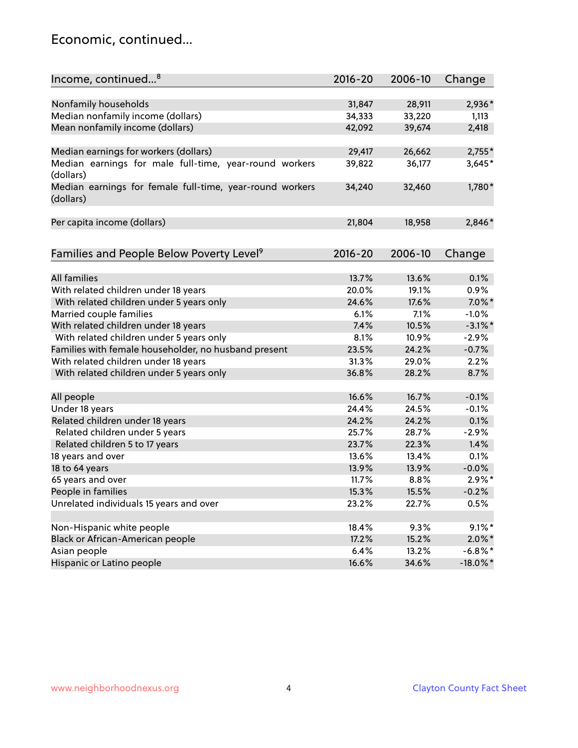#### Economic, continued...

| Income, continued <sup>8</sup>                                        | $2016 - 20$ | 2006-10 | Change                  |
|-----------------------------------------------------------------------|-------------|---------|-------------------------|
|                                                                       |             |         |                         |
| Nonfamily households                                                  | 31,847      | 28,911  | 2,936*                  |
| Median nonfamily income (dollars)                                     | 34,333      | 33,220  | 1,113                   |
| Mean nonfamily income (dollars)                                       | 42,092      | 39,674  | 2,418                   |
| Median earnings for workers (dollars)                                 | 29,417      | 26,662  | $2,755*$                |
| Median earnings for male full-time, year-round workers                | 39,822      | 36,177  | 3,645*                  |
| (dollars)                                                             |             |         |                         |
| Median earnings for female full-time, year-round workers<br>(dollars) | 34,240      | 32,460  | 1,780*                  |
| Per capita income (dollars)                                           | 21,804      | 18,958  | 2,846*                  |
|                                                                       |             |         |                         |
| Families and People Below Poverty Level <sup>9</sup>                  | $2016 - 20$ | 2006-10 | Change                  |
|                                                                       |             |         |                         |
| <b>All families</b>                                                   | 13.7%       | 13.6%   | 0.1%                    |
| With related children under 18 years                                  | 20.0%       | 19.1%   | 0.9%                    |
| With related children under 5 years only                              | 24.6%       | 17.6%   | $7.0\%$ *               |
| Married couple families                                               | 6.1%        | 7.1%    | $-1.0%$                 |
| With related children under 18 years                                  | 7.4%        | 10.5%   | $-3.1\%$ *              |
| With related children under 5 years only                              | 8.1%        | 10.9%   | $-2.9%$                 |
| Families with female householder, no husband present                  | 23.5%       | 24.2%   | $-0.7%$                 |
| With related children under 18 years                                  | 31.3%       | 29.0%   | 2.2%                    |
| With related children under 5 years only                              | 36.8%       | 28.2%   | 8.7%                    |
| All people                                                            | 16.6%       | 16.7%   | $-0.1%$                 |
| Under 18 years                                                        | 24.4%       | 24.5%   | $-0.1%$                 |
| Related children under 18 years                                       | 24.2%       | 24.2%   | 0.1%                    |
| Related children under 5 years                                        | 25.7%       | 28.7%   | $-2.9%$                 |
| Related children 5 to 17 years                                        | 23.7%       | 22.3%   | 1.4%                    |
| 18 years and over                                                     | 13.6%       | 13.4%   | 0.1%                    |
| 18 to 64 years                                                        | 13.9%       | 13.9%   | $-0.0%$                 |
| 65 years and over                                                     | 11.7%       | 8.8%    | $2.9\%$ *               |
|                                                                       |             |         |                         |
| People in families                                                    | 15.3%       | 15.5%   | $-0.2%$                 |
| Unrelated individuals 15 years and over                               | 23.2%       | 22.7%   | 0.5%                    |
| Non-Hispanic white people                                             | 18.4%       | 9.3%    | $9.1\%$ *               |
|                                                                       | 17.2%       | 15.2%   |                         |
| Black or African-American people                                      | 6.4%        | 13.2%   | $2.0\%$ *<br>$-6.8\%$ * |
| Asian people                                                          |             | 34.6%   |                         |
| Hispanic or Latino people                                             | 16.6%       |         | $-18.0\%$ *             |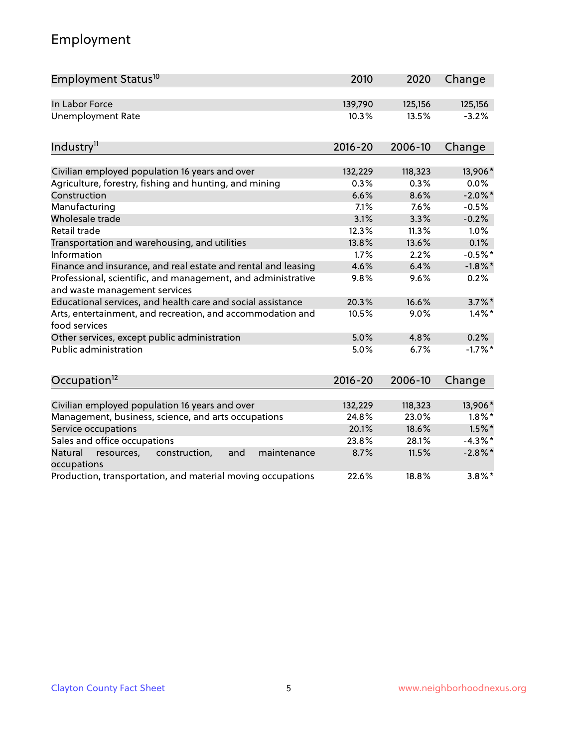# Employment

| Employment Status <sup>10</sup>                                                               | 2010        | 2020    | Change     |
|-----------------------------------------------------------------------------------------------|-------------|---------|------------|
| In Labor Force                                                                                | 139,790     | 125,156 | 125,156    |
| <b>Unemployment Rate</b>                                                                      | 10.3%       | 13.5%   | $-3.2%$    |
| Industry <sup>11</sup>                                                                        | 2016-20     | 2006-10 | Change     |
| Civilian employed population 16 years and over                                                | 132,229     | 118,323 | 13,906*    |
| Agriculture, forestry, fishing and hunting, and mining                                        | 0.3%        | 0.3%    | 0.0%       |
| Construction                                                                                  | 6.6%        | 8.6%    | $-2.0\%$ * |
| Manufacturing                                                                                 | 7.1%        | 7.6%    | $-0.5%$    |
| Wholesale trade                                                                               | 3.1%        | 3.3%    | $-0.2%$    |
| Retail trade                                                                                  | 12.3%       | 11.3%   | 1.0%       |
| Transportation and warehousing, and utilities                                                 | 13.8%       | 13.6%   | 0.1%       |
| Information                                                                                   | 1.7%        | 2.2%    | $-0.5%$ *  |
| Finance and insurance, and real estate and rental and leasing                                 | 4.6%        | 6.4%    | $-1.8\%$ * |
| Professional, scientific, and management, and administrative<br>and waste management services | 9.8%        | 9.6%    | 0.2%       |
| Educational services, and health care and social assistance                                   | 20.3%       | 16.6%   | $3.7\%$ *  |
| Arts, entertainment, and recreation, and accommodation and<br>food services                   | 10.5%       | 9.0%    | $1.4\%$ *  |
| Other services, except public administration                                                  | 5.0%        | 4.8%    | 0.2%       |
| Public administration                                                                         | 5.0%        | 6.7%    | $-1.7%$ *  |
| Occupation <sup>12</sup>                                                                      | $2016 - 20$ | 2006-10 | Change     |
| Civilian employed population 16 years and over                                                | 132,229     | 118,323 | 13,906*    |
| Management, business, science, and arts occupations                                           | 24.8%       | 23.0%   | $1.8\%$ *  |
| Service occupations                                                                           | 20.1%       | 18.6%   | $1.5\%$ *  |
| Sales and office occupations                                                                  | 23.8%       | 28.1%   | $-4.3\%$ * |
| Natural<br>resources,<br>construction,<br>and<br>maintenance                                  | 8.7%        | 11.5%   | $-2.8\%$ * |
| occupations                                                                                   |             |         |            |
| Production, transportation, and material moving occupations                                   | 22.6%       | 18.8%   | $3.8\%$ *  |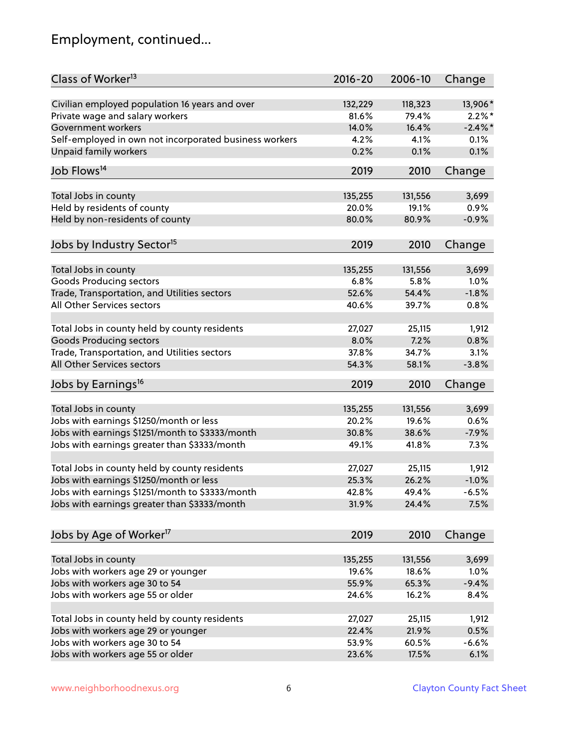# Employment, continued...

| Class of Worker <sup>13</sup>                          | $2016 - 20$      | 2006-10          | Change     |
|--------------------------------------------------------|------------------|------------------|------------|
| Civilian employed population 16 years and over         | 132,229          | 118,323          | 13,906*    |
| Private wage and salary workers                        | 81.6%            | 79.4%            | $2.2\%$ *  |
| Government workers                                     | 14.0%            | 16.4%            | $-2.4\%$ * |
| Self-employed in own not incorporated business workers | 4.2%             | 4.1%             | 0.1%       |
| <b>Unpaid family workers</b>                           | 0.2%             | 0.1%             | 0.1%       |
| Job Flows <sup>14</sup>                                | 2019             | 2010             | Change     |
|                                                        |                  |                  |            |
| Total Jobs in county                                   | 135,255<br>20.0% | 131,556<br>19.1% | 3,699      |
| Held by residents of county                            |                  |                  | 0.9%       |
| Held by non-residents of county                        | 80.0%            | 80.9%            | $-0.9%$    |
| Jobs by Industry Sector <sup>15</sup>                  | 2019             | 2010             | Change     |
| Total Jobs in county                                   | 135,255          | 131,556          | 3,699      |
| <b>Goods Producing sectors</b>                         | 6.8%             | 5.8%             | 1.0%       |
| Trade, Transportation, and Utilities sectors           | 52.6%            | 54.4%            | $-1.8%$    |
| All Other Services sectors                             | 40.6%            | 39.7%            | 0.8%       |
|                                                        |                  |                  |            |
| Total Jobs in county held by county residents          | 27,027           | 25,115           | 1,912      |
| <b>Goods Producing sectors</b>                         | 8.0%             | 7.2%             | 0.8%       |
| Trade, Transportation, and Utilities sectors           | 37.8%            | 34.7%            | 3.1%       |
| All Other Services sectors                             | 54.3%            | 58.1%            | $-3.8%$    |
| Jobs by Earnings <sup>16</sup>                         | 2019             | 2010             | Change     |
| Total Jobs in county                                   | 135,255          | 131,556          | 3,699      |
| Jobs with earnings \$1250/month or less                | 20.2%            | 19.6%            | 0.6%       |
| Jobs with earnings \$1251/month to \$3333/month        | 30.8%            | 38.6%            | $-7.9%$    |
|                                                        | 49.1%            |                  | 7.3%       |
| Jobs with earnings greater than \$3333/month           |                  | 41.8%            |            |
| Total Jobs in county held by county residents          | 27,027           | 25,115           | 1,912      |
| Jobs with earnings \$1250/month or less                | 25.3%            | 26.2%            | $-1.0%$    |
| Jobs with earnings \$1251/month to \$3333/month        | 42.8%            | 49.4%            | $-6.5%$    |
| Jobs with earnings greater than \$3333/month           | 31.9%            | 24.4%            | 7.5%       |
| Jobs by Age of Worker <sup>17</sup>                    | 2019             | 2010             | Change     |
|                                                        |                  |                  |            |
| Total Jobs in county                                   | 135,255          | 131,556          | 3,699      |
| Jobs with workers age 29 or younger                    | 19.6%            | 18.6%            | 1.0%       |
| Jobs with workers age 30 to 54                         | 55.9%            | 65.3%            | $-9.4%$    |
| Jobs with workers age 55 or older                      | 24.6%            | 16.2%            | 8.4%       |
| Total Jobs in county held by county residents          |                  |                  |            |
|                                                        | 27,027           | 25,115           | 1,912      |
| Jobs with workers age 29 or younger                    | 22.4%            | 21.9%            | 0.5%       |
| Jobs with workers age 30 to 54                         | 53.9%            | 60.5%            | $-6.6%$    |
| Jobs with workers age 55 or older                      | 23.6%            | 17.5%            | 6.1%       |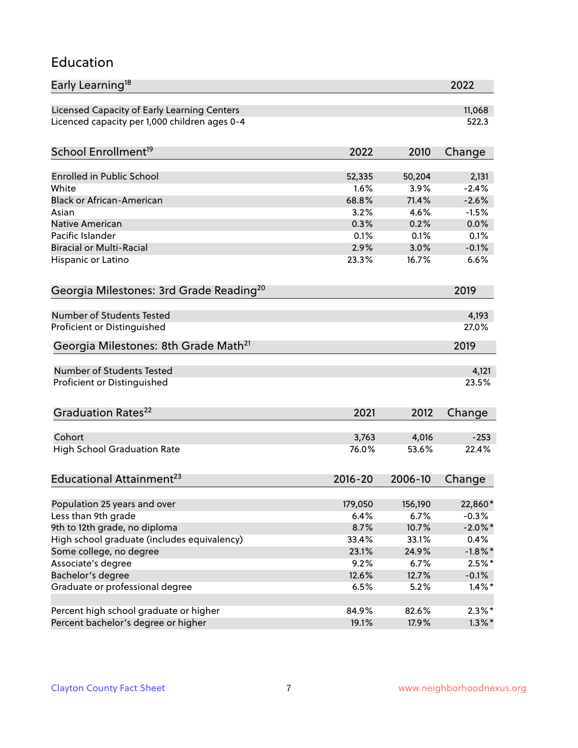#### Education

| Early Learning <sup>18</sup>                        |                |                | 2022            |
|-----------------------------------------------------|----------------|----------------|-----------------|
| Licensed Capacity of Early Learning Centers         |                |                | 11,068          |
| Licenced capacity per 1,000 children ages 0-4       |                |                | 522.3           |
| School Enrollment <sup>19</sup>                     | 2022           | 2010           | Change          |
|                                                     |                |                |                 |
| Enrolled in Public School                           | 52,335         | 50,204         | 2,131           |
| White                                               | 1.6%           | 3.9%           | $-2.4%$         |
| <b>Black or African-American</b>                    | 68.8%          | 71.4%          | $-2.6%$         |
| Asian                                               | 3.2%           | 4.6%           | $-1.5%$         |
| Native American<br>Pacific Islander                 | 0.3%<br>0.1%   | 0.2%<br>0.1%   | 0.0%            |
| <b>Biracial or Multi-Racial</b>                     | 2.9%           | 3.0%           | 0.1%<br>$-0.1%$ |
|                                                     |                |                |                 |
| Hispanic or Latino                                  | 23.3%          | 16.7%          | 6.6%            |
| Georgia Milestones: 3rd Grade Reading <sup>20</sup> |                |                | 2019            |
|                                                     |                |                |                 |
| Number of Students Tested                           |                |                | 4,193           |
| Proficient or Distinguished                         |                |                | 27.0%           |
| Georgia Milestones: 8th Grade Math <sup>21</sup>    |                |                | 2019            |
| Number of Students Tested                           |                |                | 4,121           |
| Proficient or Distinguished                         |                |                | 23.5%           |
|                                                     |                |                |                 |
| Graduation Rates <sup>22</sup>                      | 2021           | 2012           | Change          |
| Cohort                                              |                |                | $-253$          |
| <b>High School Graduation Rate</b>                  | 3,763<br>76.0% | 4,016<br>53.6% | 22.4%           |
|                                                     |                |                |                 |
| Educational Attainment <sup>23</sup>                | $2016 - 20$    | 2006-10        | Change          |
|                                                     |                |                |                 |
| Population 25 years and over                        | 179,050        | 156,190        | 22,860*         |
| Less than 9th grade                                 | 6.4%           | 6.7%           | $-0.3%$         |
| 9th to 12th grade, no diploma                       | 8.7%           | 10.7%          | $-2.0\%$ *      |
| High school graduate (includes equivalency)         | 33.4%          | 33.1%          | 0.4%            |
| Some college, no degree                             | 23.1%          | 24.9%          | $-1.8\%$ *      |
| Associate's degree                                  | 9.2%           | 6.7%           | $2.5%$ *        |
| Bachelor's degree                                   | 12.6%          | 12.7%          | $-0.1%$         |
| Graduate or professional degree                     | 6.5%           | 5.2%           | $1.4\%$ *       |
| Percent high school graduate or higher              | 84.9%          | 82.6%          | $2.3\%*$        |
| Percent bachelor's degree or higher                 | 19.1%          | 17.9%          | $1.3\%$ *       |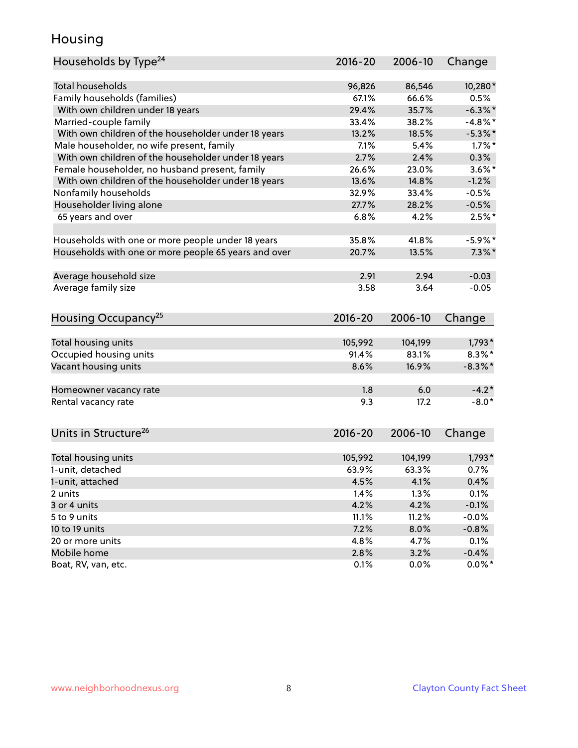#### Housing

| Households by Type <sup>24</sup>                     | 2016-20     | 2006-10 | Change     |
|------------------------------------------------------|-------------|---------|------------|
|                                                      |             |         |            |
| <b>Total households</b>                              | 96,826      | 86,546  | 10,280*    |
| Family households (families)                         | 67.1%       | 66.6%   | 0.5%       |
| With own children under 18 years                     | 29.4%       | 35.7%   | $-6.3\%$ * |
| Married-couple family                                | 33.4%       | 38.2%   | $-4.8\%$ * |
| With own children of the householder under 18 years  | 13.2%       | 18.5%   | $-5.3\%$ * |
| Male householder, no wife present, family            | 7.1%        | 5.4%    | $1.7\%$ *  |
| With own children of the householder under 18 years  | 2.7%        | 2.4%    | 0.3%       |
| Female householder, no husband present, family       | 26.6%       | 23.0%   | $3.6\%$ *  |
| With own children of the householder under 18 years  | 13.6%       | 14.8%   | $-1.2%$    |
| Nonfamily households                                 | 32.9%       | 33.4%   | $-0.5%$    |
| Householder living alone                             | 27.7%       | 28.2%   | $-0.5%$    |
| 65 years and over                                    | 6.8%        | 4.2%    | $2.5%$ *   |
|                                                      |             |         |            |
| Households with one or more people under 18 years    | 35.8%       | 41.8%   | $-5.9\%$ * |
| Households with one or more people 65 years and over | 20.7%       | 13.5%   | $7.3\%$ *  |
|                                                      |             |         |            |
| Average household size                               | 2.91        | 2.94    | $-0.03$    |
| Average family size                                  | 3.58        | 3.64    | $-0.05$    |
| Housing Occupancy <sup>25</sup>                      | $2016 - 20$ | 2006-10 | Change     |
|                                                      |             |         |            |
| Total housing units                                  | 105,992     | 104,199 | $1,793*$   |
| Occupied housing units                               | 91.4%       | 83.1%   | $8.3\%$ *  |
| Vacant housing units                                 | 8.6%        | 16.9%   | $-8.3\%$ * |
| Homeowner vacancy rate                               | 1.8         | 6.0     | $-4.2*$    |
| Rental vacancy rate                                  | 9.3         | 17.2    | $-8.0*$    |
|                                                      |             |         |            |
| Units in Structure <sup>26</sup>                     | $2016 - 20$ | 2006-10 | Change     |
| Total housing units                                  | 105,992     | 104,199 | $1,793*$   |
| 1-unit, detached                                     | 63.9%       | 63.3%   | 0.7%       |
| 1-unit, attached                                     | 4.5%        | 4.1%    | 0.4%       |
| 2 units                                              | 1.4%        | 1.3%    | 0.1%       |
| 3 or 4 units                                         | 4.2%        | 4.2%    | $-0.1%$    |
| 5 to 9 units                                         | 11.1%       | 11.2%   | $-0.0%$    |
| 10 to 19 units                                       | 7.2%        | 8.0%    | $-0.8%$    |
| 20 or more units                                     | 4.8%        | 4.7%    | 0.1%       |
| Mobile home                                          | 2.8%        | 3.2%    | $-0.4%$    |
| Boat, RV, van, etc.                                  | 0.1%        | 0.0%    | $0.0\%$ *  |
|                                                      |             |         |            |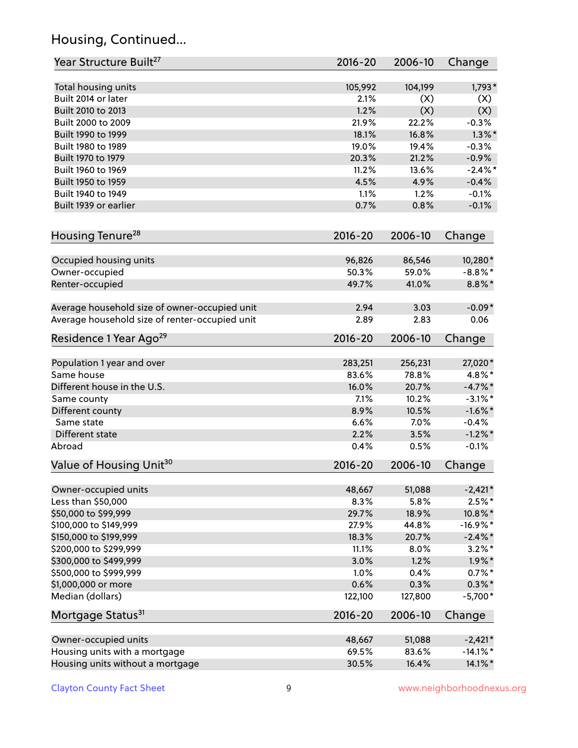# Housing, Continued...

| Year Structure Built <sup>27</sup>             | 2016-20     | 2006-10 | Change      |
|------------------------------------------------|-------------|---------|-------------|
| Total housing units                            | 105,992     | 104,199 | $1,793*$    |
| Built 2014 or later                            | 2.1%        | (X)     | (X)         |
| Built 2010 to 2013                             | 1.2%        | (X)     | (X)         |
| Built 2000 to 2009                             | 21.9%       | 22.2%   | $-0.3%$     |
| Built 1990 to 1999                             | 18.1%       | 16.8%   | $1.3\%$ *   |
| Built 1980 to 1989                             | 19.0%       | 19.4%   | $-0.3%$     |
| Built 1970 to 1979                             | 20.3%       | 21.2%   | $-0.9%$     |
| Built 1960 to 1969                             | 11.2%       | 13.6%   | $-2.4\%$ *  |
| Built 1950 to 1959                             | 4.5%        | 4.9%    | $-0.4%$     |
| Built 1940 to 1949                             | 1.1%        | 1.2%    | $-0.1%$     |
| Built 1939 or earlier                          | 0.7%        | 0.8%    | $-0.1%$     |
| Housing Tenure <sup>28</sup>                   | $2016 - 20$ | 2006-10 | Change      |
| Occupied housing units                         | 96,826      | 86,546  | 10,280*     |
| Owner-occupied                                 | 50.3%       | 59.0%   | $-8.8\%$ *  |
| Renter-occupied                                | 49.7%       | 41.0%   | $8.8\%$ *   |
| Average household size of owner-occupied unit  | 2.94        | 3.03    | $-0.09*$    |
| Average household size of renter-occupied unit | 2.89        | 2.83    | 0.06        |
| Residence 1 Year Ago <sup>29</sup>             | 2016-20     | 2006-10 | Change      |
| Population 1 year and over                     | 283,251     | 256,231 | 27,020*     |
| Same house                                     | 83.6%       | 78.8%   | 4.8%*       |
| Different house in the U.S.                    | 16.0%       | 20.7%   | $-4.7\%$ *  |
| Same county                                    | 7.1%        | 10.2%   | $-3.1\%$ *  |
| Different county                               | 8.9%        | 10.5%   | $-1.6\%$ *  |
| Same state                                     | 6.6%        | 7.0%    | $-0.4%$     |
| Different state                                | 2.2%        | 3.5%    | $-1.2\%$ *  |
| Abroad                                         | 0.4%        | 0.5%    | $-0.1%$     |
| Value of Housing Unit <sup>30</sup>            | $2016 - 20$ | 2006-10 | Change      |
| Owner-occupied units                           | 48,667      | 51,088  | $-2,421*$   |
| Less than \$50,000                             | 8.3%        | 5.8%    | $2.5\%$ *   |
| \$50,000 to \$99,999                           | 29.7%       | 18.9%   | 10.8%*      |
| \$100,000 to \$149,999                         | 27.9%       | 44.8%   | $-16.9\%$ * |
| \$150,000 to \$199,999                         | 18.3%       | 20.7%   | $-2.4\%$ *  |
| \$200,000 to \$299,999                         | 11.1%       | 8.0%    | $3.2\%$ *   |
| \$300,000 to \$499,999                         | 3.0%        | 1.2%    | $1.9\%$ *   |
| \$500,000 to \$999,999                         | 1.0%        | 0.4%    | $0.7\%$ *   |
| \$1,000,000 or more                            | 0.6%        | 0.3%    | $0.3\% *$   |
| Median (dollars)                               | 122,100     | 127,800 | $-5,700*$   |
| Mortgage Status <sup>31</sup>                  | 2016-20     | 2006-10 | Change      |
| Owner-occupied units                           | 48,667      | 51,088  | $-2,421*$   |
| Housing units with a mortgage                  | 69.5%       | 83.6%   | $-14.1\%$ * |
| Housing units without a mortgage               | 30.5%       | 16.4%   | 14.1%*      |
|                                                |             |         |             |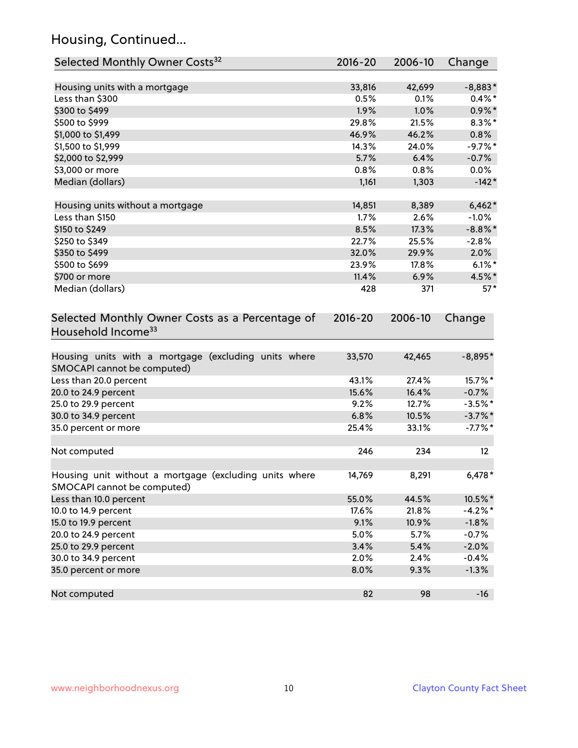# Housing, Continued...

| Selected Monthly Owner Costs <sup>32</sup>                                            | $2016 - 20$ | 2006-10 | Change     |
|---------------------------------------------------------------------------------------|-------------|---------|------------|
| Housing units with a mortgage                                                         | 33,816      | 42,699  | $-8,883*$  |
| Less than \$300                                                                       | 0.5%        | 0.1%    | $0.4\% *$  |
| \$300 to \$499                                                                        | 1.9%        | 1.0%    | $0.9\%*$   |
| \$500 to \$999                                                                        | 29.8%       | 21.5%   | $8.3\%$ *  |
| \$1,000 to \$1,499                                                                    | 46.9%       | 46.2%   | 0.8%       |
| \$1,500 to \$1,999                                                                    | 14.3%       | 24.0%   | $-9.7%$ *  |
| \$2,000 to \$2,999                                                                    | 5.7%        | 6.4%    | $-0.7%$    |
| \$3,000 or more                                                                       | 0.8%        | 0.8%    | $0.0\%$    |
| Median (dollars)                                                                      | 1,161       | 1,303   | $-142*$    |
| Housing units without a mortgage                                                      | 14,851      | 8,389   | $6,462*$   |
| Less than \$150                                                                       | 1.7%        | 2.6%    | $-1.0%$    |
| \$150 to \$249                                                                        | 8.5%        | 17.3%   | $-8.8\%$ * |
| \$250 to \$349                                                                        | 22.7%       | 25.5%   | $-2.8%$    |
| \$350 to \$499                                                                        | 32.0%       | 29.9%   | 2.0%       |
| \$500 to \$699                                                                        | 23.9%       | 17.8%   | $6.1\%$ *  |
| \$700 or more                                                                         | 11.4%       | 6.9%    | 4.5%*      |
| Median (dollars)                                                                      | 428         | 371     | $57*$      |
| Selected Monthly Owner Costs as a Percentage of<br>Household Income <sup>33</sup>     | $2016 - 20$ | 2006-10 | Change     |
| Housing units with a mortgage (excluding units where<br>SMOCAPI cannot be computed)   | 33,570      | 42,465  | $-8,895*$  |
| Less than 20.0 percent                                                                | 43.1%       | 27.4%   | 15.7%*     |
| 20.0 to 24.9 percent                                                                  | 15.6%       | 16.4%   | $-0.7%$    |
| 25.0 to 29.9 percent                                                                  | 9.2%        | 12.7%   | $-3.5%$ *  |
| 30.0 to 34.9 percent                                                                  | 6.8%        | 10.5%   | $-3.7\%$ * |
| 35.0 percent or more                                                                  | 25.4%       | 33.1%   | $-7.7\%$ * |
| Not computed                                                                          | 246         | 234     | 12         |
| Housing unit without a mortgage (excluding units where<br>SMOCAPI cannot be computed) | 14,769      | 8,291   | $6,478*$   |
| Less than 10.0 percent                                                                | 55.0%       | 44.5%   | 10.5%*     |
| 10.0 to 14.9 percent                                                                  | 17.6%       | 21.8%   | $-4.2%$ *  |
| 15.0 to 19.9 percent                                                                  | 9.1%        | 10.9%   | $-1.8%$    |
| 20.0 to 24.9 percent                                                                  | 5.0%        | 5.7%    | $-0.7%$    |
| 25.0 to 29.9 percent                                                                  | 3.4%        | 5.4%    | $-2.0%$    |
| 30.0 to 34.9 percent                                                                  | 2.0%        | 2.4%    | $-0.4%$    |
| 35.0 percent or more                                                                  | 8.0%        | 9.3%    | $-1.3%$    |
| Not computed                                                                          | 82          | 98      | $-16$      |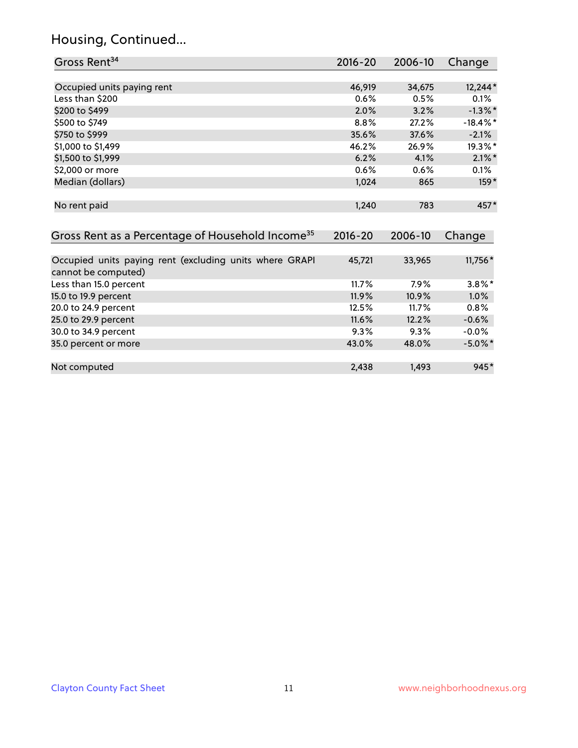# Housing, Continued...

| Gross Rent <sup>34</sup>                                     | 2016-20     | 2006-10 | Change      |
|--------------------------------------------------------------|-------------|---------|-------------|
|                                                              |             |         |             |
| Occupied units paying rent                                   | 46,919      | 34,675  | 12,244*     |
| Less than \$200                                              | 0.6%        | 0.5%    | 0.1%        |
| \$200 to \$499                                               | 2.0%        | 3.2%    | $-1.3\%$ *  |
| \$500 to \$749                                               | 8.8%        | 27.2%   | $-18.4\%$ * |
| \$750 to \$999                                               | 35.6%       | 37.6%   | $-2.1%$     |
| \$1,000 to \$1,499                                           | 46.2%       | 26.9%   | 19.3%*      |
| \$1,500 to \$1,999                                           | 6.2%        | 4.1%    | $2.1\%$ *   |
| \$2,000 or more                                              | 0.6%        | 0.6%    | $0.1\%$     |
| Median (dollars)                                             | 1,024       | 865     | $159*$      |
|                                                              |             |         |             |
| No rent paid                                                 | 1,240       | 783     | 457*        |
|                                                              |             |         |             |
| Gross Rent as a Percentage of Household Income <sup>35</sup> | $2016 - 20$ | 2006-10 | Change      |
|                                                              |             |         |             |
| Occupied units paying rent (excluding units where GRAPI      | 45,721      | 33,965  | 11,756 *    |
| cannot be computed)                                          |             |         |             |
| Less than 15.0 percent                                       | 11.7%       | 7.9%    | $3.8\%$ *   |
| 15.0 to 19.9 percent                                         | 11.9%       | 10.9%   | 1.0%        |
| 20.0 to 24.9 percent                                         | 12.5%       | 11.7%   | 0.8%        |
| 25.0 to 29.9 percent                                         | 11.6%       | 12.2%   | $-0.6%$     |
| 30.0 to 34.9 percent                                         | 9.3%        | 9.3%    | $-0.0%$     |
| 35.0 percent or more                                         | 43.0%       | 48.0%   | $-5.0\%$ *  |
|                                                              |             |         |             |
| Not computed                                                 | 2,438       | 1,493   | $945*$      |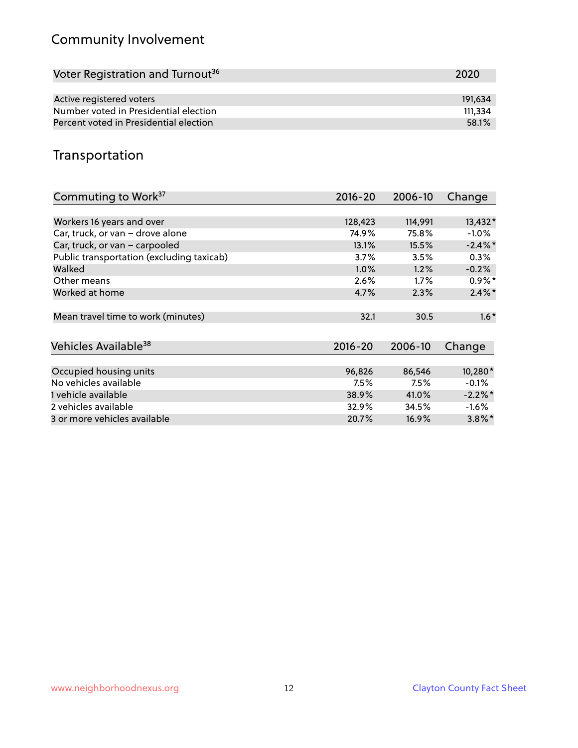# Community Involvement

| Voter Registration and Turnout <sup>36</sup> | 2020    |
|----------------------------------------------|---------|
|                                              |         |
| Active registered voters                     | 191.634 |
| Number voted in Presidential election        | 111.334 |
| Percent voted in Presidential election       | 58.1%   |

#### Transportation

| Commuting to Work <sup>37</sup>           | 2016-20     | 2006-10 | Change               |
|-------------------------------------------|-------------|---------|----------------------|
|                                           |             |         |                      |
| Workers 16 years and over                 | 128,423     | 114,991 | 13,432*              |
| Car, truck, or van - drove alone          | 74.9%       | 75.8%   | $-1.0\%$             |
| Car, truck, or van - carpooled            | 13.1%       | 15.5%   | $-2.4\%$ *           |
| Public transportation (excluding taxicab) | 3.7%        | 3.5%    | $0.3\%$              |
| Walked                                    | $1.0\%$     | 1.2%    | $-0.2%$              |
| Other means                               | 2.6%        | $1.7\%$ | $0.9\%*$             |
| Worked at home                            | 4.7%        | 2.3%    | $2.4\%$ *            |
| Mean travel time to work (minutes)        | 32.1        | 30.5    | $1.6*$               |
| Vehicles Available <sup>38</sup>          | $2016 - 20$ | 2006-10 | Change               |
| Occupied housing units                    | 96,826      | 86,546  | 10,280*              |
| No vehicles available                     | 7.5%        | 7.5%    | $-0.1%$              |
| 1 vehicle available                       | 38.9%       | 41.0%   | $-2.2\%$ *           |
| 2 vehicles available                      | 32.9%       | 34.5%   | $-1.6%$              |
| 3 or more vehicles available              | 20.7%       | 16.9%   | $3.8\%$ <sup>*</sup> |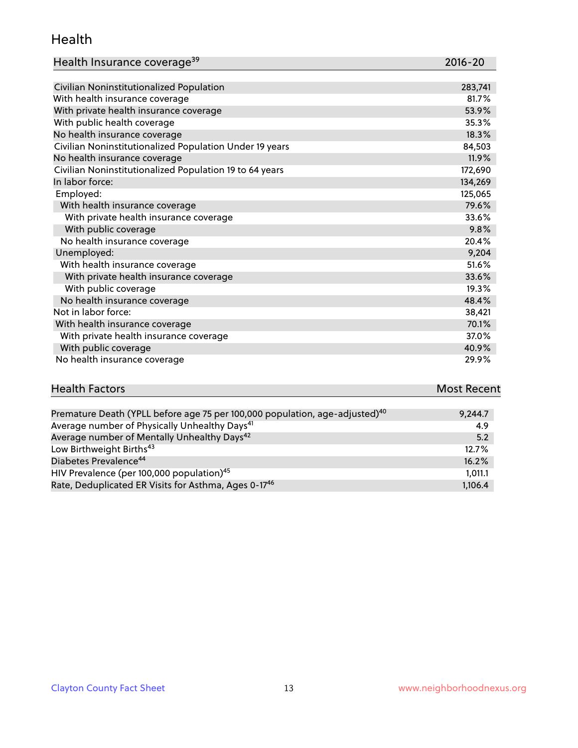#### Health

| Health Insurance coverage <sup>39</sup> | 2016-20 |
|-----------------------------------------|---------|
|-----------------------------------------|---------|

| Civilian Noninstitutionalized Population                | 283,741 |
|---------------------------------------------------------|---------|
| With health insurance coverage                          | 81.7%   |
| With private health insurance coverage                  | 53.9%   |
| With public health coverage                             | 35.3%   |
| No health insurance coverage                            | 18.3%   |
| Civilian Noninstitutionalized Population Under 19 years | 84,503  |
| No health insurance coverage                            | 11.9%   |
| Civilian Noninstitutionalized Population 19 to 64 years | 172,690 |
| In labor force:                                         | 134,269 |
| Employed:                                               | 125,065 |
| With health insurance coverage                          | 79.6%   |
| With private health insurance coverage                  | 33.6%   |
| With public coverage                                    | 9.8%    |
| No health insurance coverage                            | 20.4%   |
| Unemployed:                                             | 9,204   |
| With health insurance coverage                          | 51.6%   |
| With private health insurance coverage                  | 33.6%   |
| With public coverage                                    | 19.3%   |
| No health insurance coverage                            | 48.4%   |
| Not in labor force:                                     | 38,421  |
| With health insurance coverage                          | 70.1%   |
| With private health insurance coverage                  | 37.0%   |
| With public coverage                                    | 40.9%   |
| No health insurance coverage                            | 29.9%   |

# **Health Factors Most Recent** And The Control of the Control of The Control of The Control of The Control of The Control of The Control of The Control of The Control of The Control of The Control of The Control of The Contr

| Premature Death (YPLL before age 75 per 100,000 population, age-adjusted) <sup>40</sup> | 9.244.7 |
|-----------------------------------------------------------------------------------------|---------|
| Average number of Physically Unhealthy Days <sup>41</sup>                               | 4.9     |
| Average number of Mentally Unhealthy Days <sup>42</sup>                                 | 5.2     |
| Low Birthweight Births <sup>43</sup>                                                    | 12.7%   |
| Diabetes Prevalence <sup>44</sup>                                                       | 16.2%   |
| HIV Prevalence (per 100,000 population) <sup>45</sup>                                   | 1,011.1 |
| Rate, Deduplicated ER Visits for Asthma, Ages 0-17 <sup>46</sup>                        | 1,106.4 |